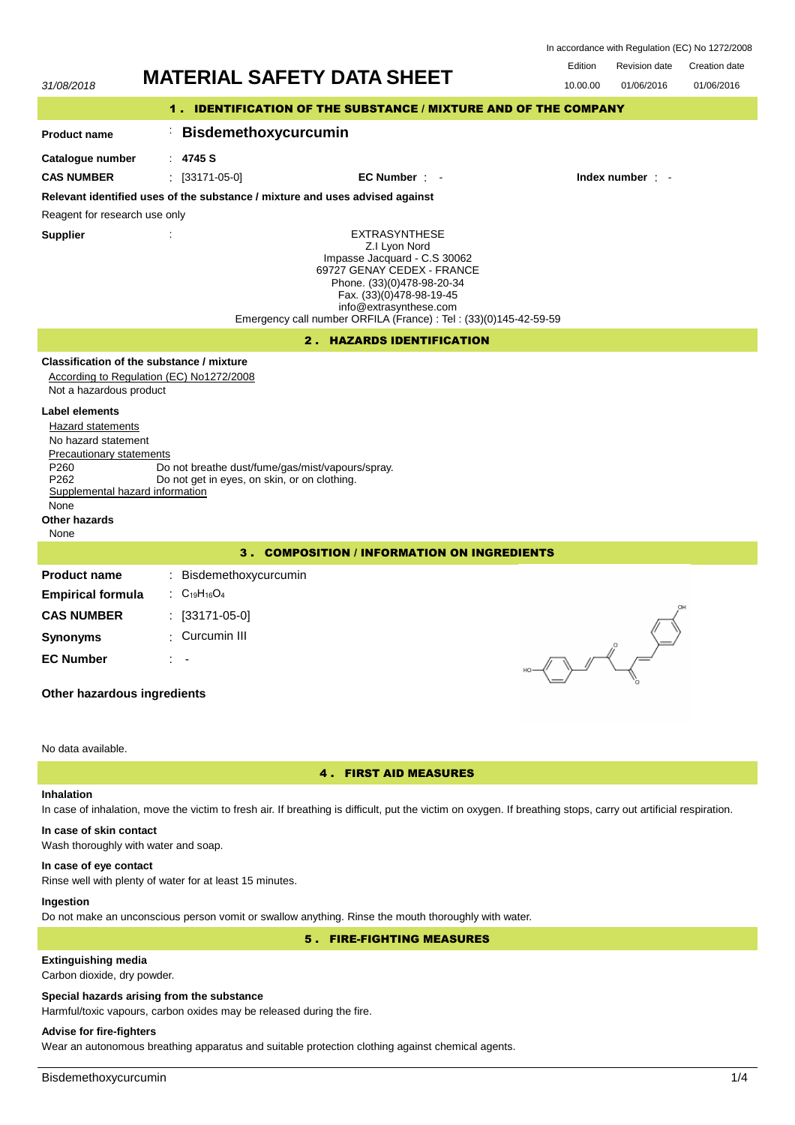| In accordance with Regulation (EC) No 1272/2008 |  |  |
|-------------------------------------------------|--|--|
|-------------------------------------------------|--|--|



# 4 . FIRST AID MEASURES

# **Inhalation**

In case of inhalation, move the victim to fresh air. If breathing is difficult, put the victim on oxygen. If breathing stops, carry out artificial respiration.

# **In case of skin contact**

Wash thoroughly with water and soap.

## **In case of eye contact**

Rinse well with plenty of water for at least 15 minutes.

## **Ingestion**

Do not make an unconscious person vomit or swallow anything. Rinse the mouth thoroughly with water.

# 5 . FIRE-FIGHTING MEASURES

# **Extinguishing media**

Carbon dioxide, dry powder.

## **Special hazards arising from the substance**

Harmful/toxic vapours, carbon oxides may be released during the fire.

## **Advise for fire-fighters**

Wear an autonomous breathing apparatus and suitable protection clothing against chemical agents.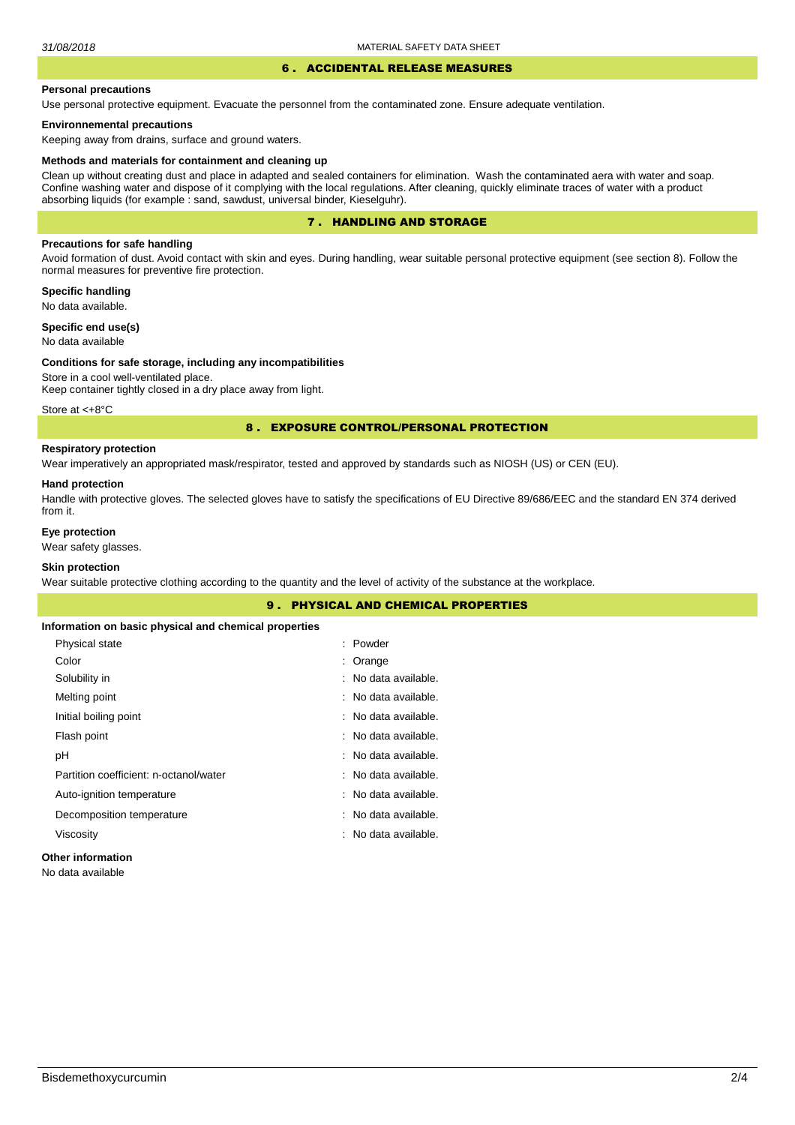#### 6 . ACCIDENTAL RELEASE MEASURES

### **Personal precautions**

Use personal protective equipment. Evacuate the personnel from the contaminated zone. Ensure adequate ventilation.

## **Environnemental precautions**

Keeping away from drains, surface and ground waters.

#### **Methods and materials for containment and cleaning up**

Clean up without creating dust and place in adapted and sealed containers for elimination. Wash the contaminated aera with water and soap. Confine washing water and dispose of it complying with the local regulations. After cleaning, quickly eliminate traces of water with a product absorbing liquids (for example : sand, sawdust, universal binder, Kieselguhr).

# 7 . HANDLING AND STORAGE

## **Precautions for safe handling**

Avoid formation of dust. Avoid contact with skin and eyes. During handling, wear suitable personal protective equipment (see section 8). Follow the normal measures for preventive fire protection.

**Specific handling** No data available.

**Specific end use(s)**

# No data available

#### **Conditions for safe storage, including any incompatibilities**

Store in a cool well-ventilated place. Keep container tightly closed in a dry place away from light.

Store at <+8°C

## 8 . EXPOSURE CONTROL/PERSONAL PROTECTION

## **Respiratory protection**

Wear imperatively an appropriated mask/respirator, tested and approved by standards such as NIOSH (US) or CEN (EU).

#### **Hand protection**

Handle with protective gloves. The selected gloves have to satisfy the specifications of EU Directive 89/686/EEC and the standard EN 374 derived from it.

# **Eye protection**

Wear safety glasses.

## **Skin protection**

Wear suitable protective clothing according to the quantity and the level of activity of the substance at the workplace.

| <b>9. PHYSICAL AND CHEMICAL PROPERTIES</b>            |                      |  |  |
|-------------------------------------------------------|----------------------|--|--|
| Information on basic physical and chemical properties |                      |  |  |
| Physical state                                        | : Powder             |  |  |
| Color                                                 | $:$ Orange           |  |  |
| Solubility in                                         | : No data available. |  |  |
| Melting point                                         | : No data available. |  |  |
| Initial boiling point                                 | : No data available. |  |  |
| Flash point                                           | : No data available. |  |  |
| рH                                                    | : No data available. |  |  |
| Partition coefficient: n-octanol/water                | : No data available. |  |  |
| Auto-ignition temperature                             | : No data available. |  |  |
| Decomposition temperature                             | : No data available. |  |  |
| Viscosity                                             | : No data available. |  |  |
| Other information                                     |                      |  |  |

# **Other information**

No data available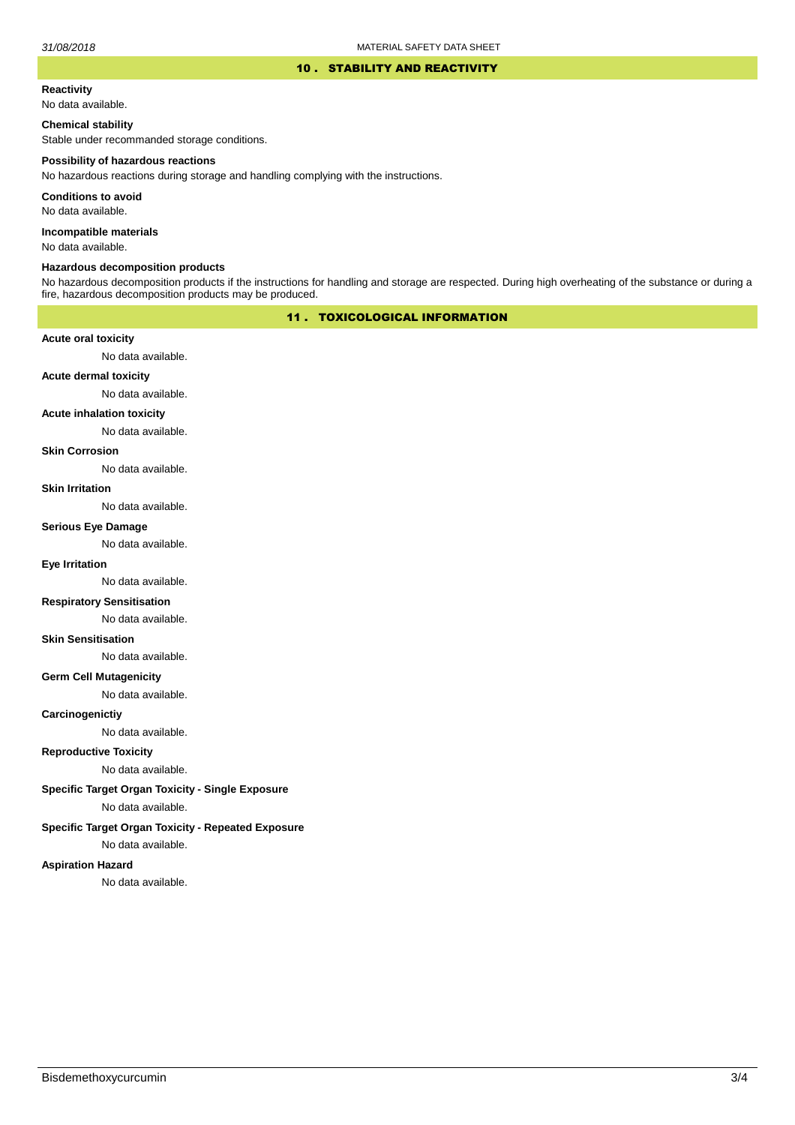## 10 . STABILITY AND REACTIVITY

## **Reactivity**

No data available.

## **Chemical stability**

Stable under recommanded storage conditions.

#### **Possibility of hazardous reactions**

No hazardous reactions during storage and handling complying with the instructions.

**Conditions to avoid**

No data available.

**Incompatible materials**

No data available.

#### **Hazardous decomposition products**

No hazardous decomposition products if the instructions for handling and storage are respected. During high overheating of the substance or during a fire, hazardous decomposition products may be produced.

# 11 . TOXICOLOGICAL INFORMATION

## **Acute oral toxicity**

No data available.

# **Acute dermal toxicity**

No data available.

## **Acute inhalation toxicity**

No data available.

### **Skin Corrosion**

No data available.

#### **Skin Irritation**

No data available.

# **Serious Eye Damage**

No data available.

# **Eye Irritation**

No data available.

## **Respiratory Sensitisation**

No data available.

## **Skin Sensitisation**

No data available.

## **Germ Cell Mutagenicity**

No data available.

## **Carcinogenictiy**

No data available.

# **Reproductive Toxicity**

No data available.

# **Specific Target Organ Toxicity - Single Exposure**

No data available.

## **Specific Target Organ Toxicity - Repeated Exposure**

No data available.

## **Aspiration Hazard**

No data available.